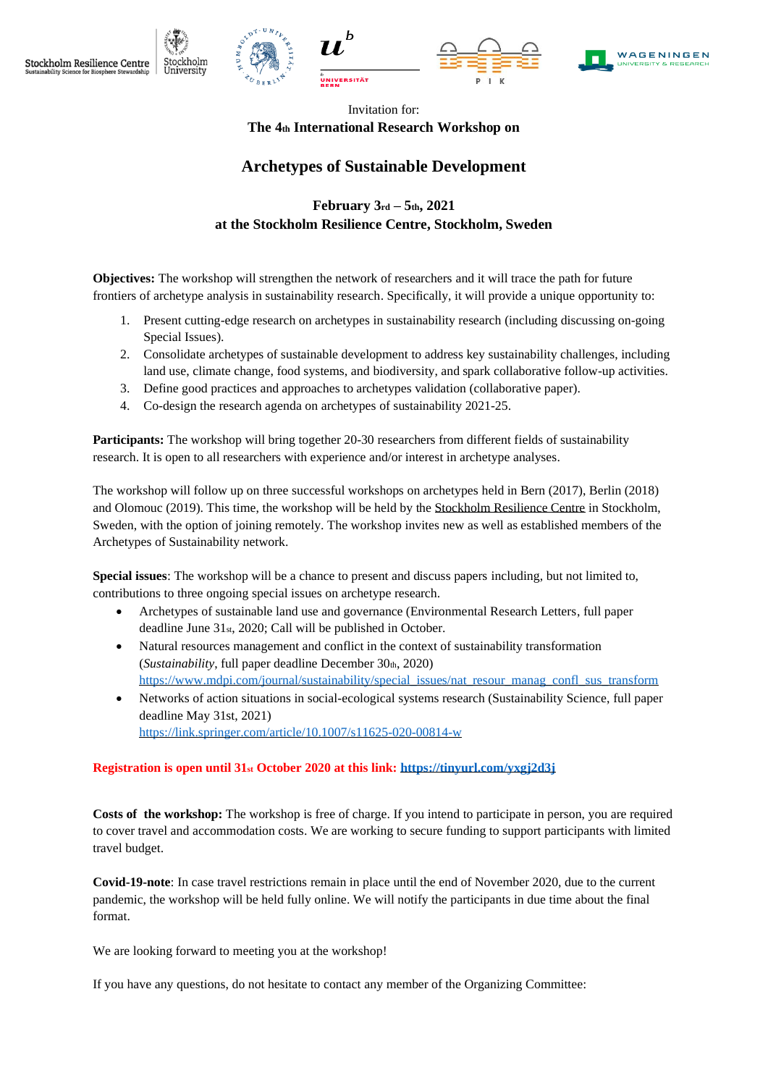





Invitation for:

**The 4th International Research Workshop on** 

## **Archetypes of Sustainable Development**

**February 3rd – 5th, 2021 at the Stockholm Resilience Centre, Stockholm, Sweden**

**Objectives:** The workshop will strengthen the network of researchers and it will trace the path for future frontiers of archetype analysis in sustainability research. Specifically, it will provide a unique opportunity to:

- 1. Present cutting-edge research on archetypes in sustainability research (including discussing on-going Special Issues).
- 2. Consolidate archetypes of sustainable development to address key sustainability challenges, including land use, climate change, food systems, and biodiversity, and spark collaborative follow-up activities.
- 3. Define good practices and approaches to archetypes validation (collaborative paper).
- 4. Co-design the research agenda on archetypes of sustainability 2021-25.

**Participants:** The workshop will bring together 20-30 researchers from different fields of sustainability research. It is open to all researchers with experience and/or interest in archetype analyses.

The workshop will follow up on three successful workshops on archetypes held in Bern (2017), Berlin (2018) and Olomouc (2019). This time, the workshop will be held by the [Stockholm Resilience Centre](https://www.stockholmresilience.org/) in Stockholm, Sweden, with the option of joining remotely. The workshop invites new as well as established members of the Archetypes of Sustainability network.

**Special issues**: The workshop will be a chance to present and discuss papers including, but not limited to, contributions to three ongoing special issues on archetype research.

- Archetypes of sustainable land use and governance (Environmental Research Letters, full paper deadline June 31st, 2020; Call will be published in October.
- Natural resources management and conflict in the context of sustainability transformation (*Sustainability*, full paper deadline December 30th, 2020) [https://www.mdpi.com/journal/sustainability/special\\_issues/nat\\_resour\\_manag\\_confl\\_sus\\_transform](https://www.mdpi.com/journal/sustainability/special_issues/nat_resour_manag_confl_sus_transform)
- Networks of action situations in social-ecological systems research (Sustainability Science, full paper deadline May 31st, 2021) <https://link.springer.com/article/10.1007/s11625-020-00814-w>

## **Registration is open until 31st October 2020 at this link:<https://tinyurl.com/yxgj2d3j>**

**Costs of the workshop:** The workshop is free of charge. If you intend to participate in person, you are required to cover travel and accommodation costs. We are working to secure funding to support participants with limited travel budget.

**Covid-19-note**: In case travel restrictions remain in place until the end of November 2020, due to the current pandemic, the workshop will be held fully online. We will notify the participants in due time about the final format.

We are looking forward to meeting you at the workshop!

If you have any questions, do not hesitate to contact any member of the Organizing Committee: